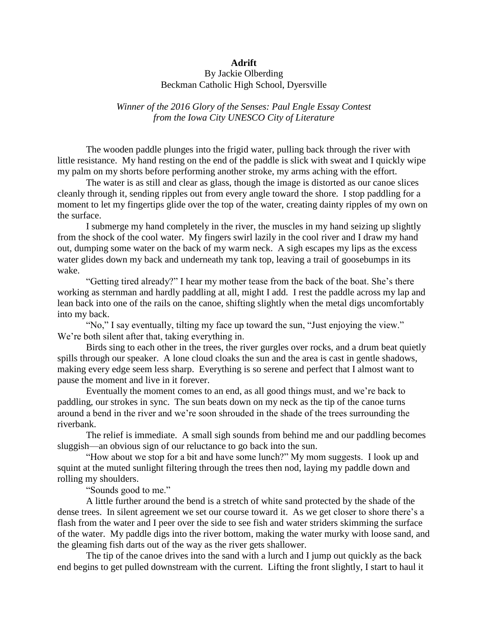## **Adrift**

## By Jackie Olberding Beckman Catholic High School, Dyersville

*Winner of the 2016 Glory of the Senses: Paul Engle Essay Contest from the Iowa City UNESCO City of Literature*

The wooden paddle plunges into the frigid water, pulling back through the river with little resistance. My hand resting on the end of the paddle is slick with sweat and I quickly wipe my palm on my shorts before performing another stroke, my arms aching with the effort.

The water is as still and clear as glass, though the image is distorted as our canoe slices cleanly through it, sending ripples out from every angle toward the shore. I stop paddling for a moment to let my fingertips glide over the top of the water, creating dainty ripples of my own on the surface.

I submerge my hand completely in the river, the muscles in my hand seizing up slightly from the shock of the cool water. My fingers swirl lazily in the cool river and I draw my hand out, dumping some water on the back of my warm neck. A sigh escapes my lips as the excess water glides down my back and underneath my tank top, leaving a trail of goosebumps in its wake.

"Getting tired already?" I hear my mother tease from the back of the boat. She's there working as sternman and hardly paddling at all, might I add. I rest the paddle across my lap and lean back into one of the rails on the canoe, shifting slightly when the metal digs uncomfortably into my back.

"No," I say eventually, tilting my face up toward the sun, "Just enjoying the view." We're both silent after that, taking everything in.

Birds sing to each other in the trees, the river gurgles over rocks, and a drum beat quietly spills through our speaker. A lone cloud cloaks the sun and the area is cast in gentle shadows, making every edge seem less sharp. Everything is so serene and perfect that I almost want to pause the moment and live in it forever.

Eventually the moment comes to an end, as all good things must, and we're back to paddling, our strokes in sync. The sun beats down on my neck as the tip of the canoe turns around a bend in the river and we're soon shrouded in the shade of the trees surrounding the riverbank.

The relief is immediate. A small sigh sounds from behind me and our paddling becomes sluggish—an obvious sign of our reluctance to go back into the sun.

"How about we stop for a bit and have some lunch?" My mom suggests. I look up and squint at the muted sunlight filtering through the trees then nod, laying my paddle down and rolling my shoulders.

"Sounds good to me."

A little further around the bend is a stretch of white sand protected by the shade of the dense trees. In silent agreement we set our course toward it. As we get closer to shore there's a flash from the water and I peer over the side to see fish and water striders skimming the surface of the water. My paddle digs into the river bottom, making the water murky with loose sand, and the gleaming fish darts out of the way as the river gets shallower.

The tip of the canoe drives into the sand with a lurch and I jump out quickly as the back end begins to get pulled downstream with the current. Lifting the front slightly, I start to haul it